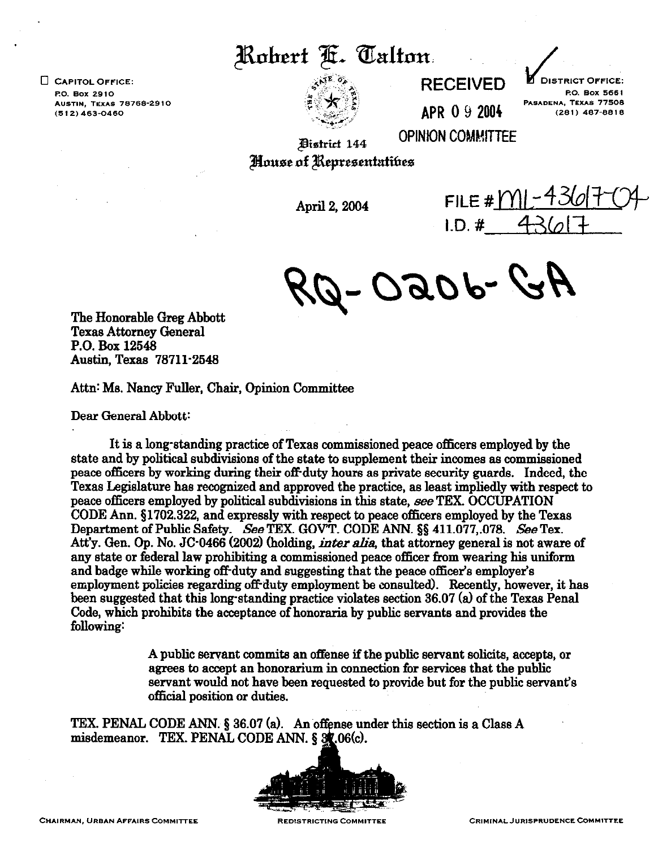Robert F. Talton.

 $\square$  CAPITOL OFFICE: P.O. Box 2910 **AUSTIN, TEXAS 78768-2910**  $(512) 463 - 0460$ 



**RECEIVED** 

**DISTRICT OFFICE:** P.O. Box 5661 PASADENA, TEXAS 77508  $(281)$  487-8818

**APR 0 9 2004** 

**OPINION COMMITTEE District 144** House of Representatives

April 2, 2004

FILE #  $M$  – 43  $1. D. 4 36$ 

Az -dorco.

**The Honorable Greg Abbott Texas Attorney General P.O. Box 12548 Austin, Texas 78711-2548** 

Attn: Ms. Nancy Fuller, Chair, Opinion Committee

**Dear General Abbott:** 

It is a long-standing practice of Texas commissioned peace officers employed by the **state and by political subdivisions of the state to supplement their incomes as commissioned peace officers by working during their off duty hours as private security guards. Indeed, the Texas Legislature has recognized and approved the practice, as least impliedly with respect to peace officers employed by political subdivisions in this state, see TEX. OCCUPATION CODE Ann. \$1702.322, and expressly with respect to peace officers employed by the Texas**  Department of Public Safety. See TEX. GOVT. CODE ANN. §§ 411.077,.078. See Tex. Att'y. Gen. Op. No. JC<sup>-</sup>0466 (2002) (holding, *inter alia*, that attorney general is not aware of **any state or federal law prohibiting a commissioned peace officer from wearing his uniform**  and badge while working off-duty and suggesting that the peace officer's employer's employment policies regarding off duty employment be consulted). Recently, however, it has been suggested that this long-standing practice violates section 36.07 (a) of the Texas Penal **Code, which prohibits the acceptance of honoraria by public servants and provides the following:** 

> **A public servant commits an offense if the public servant solicits, accepts, or agrees to accept an honorarium in connection for services that the public servant would not have been requested to provide but for the public servant's official position or duties.**

TEX. PENAL CODE ANN. § 36.07 (a). An offense under this section is a Class A **misdemeanor. TEX. PENAL CODE ANN. 5**